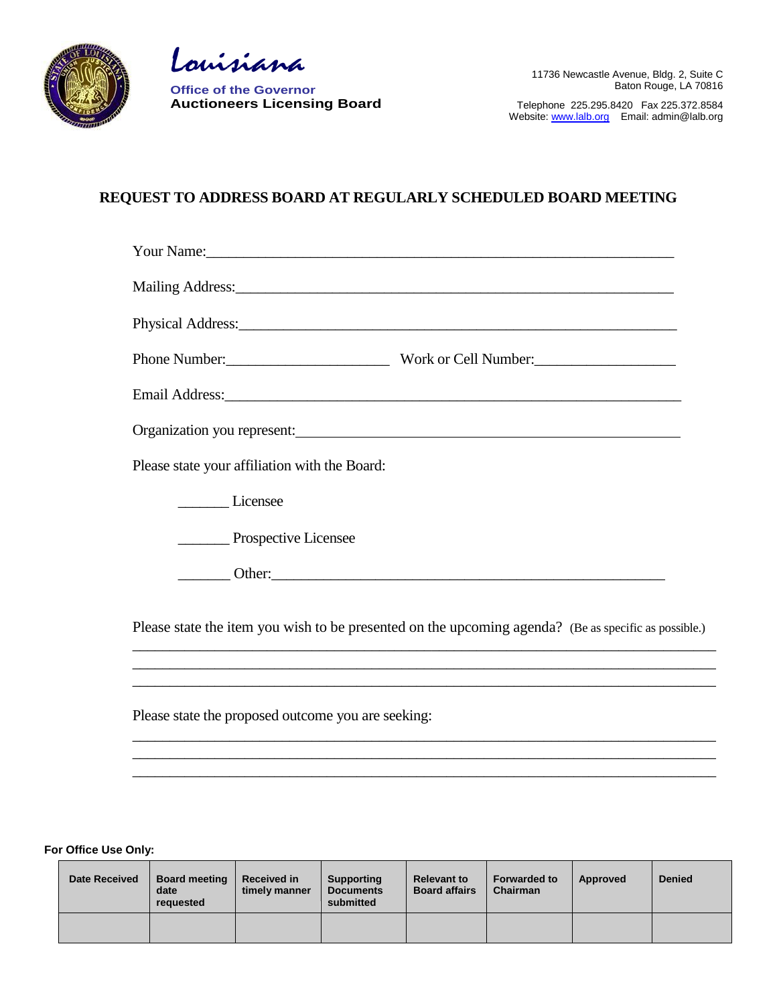

Louisiana

**Office of the Governor Auctioneers Licensing Board**

Telephone 225.295.8420 Fax 225.372.8584 Website[: www.lalb.org](http://www.lalb.org/) Email: admin@lalb.org

## **REQUEST TO ADDRESS BOARD AT REGULARLY SCHEDULED BOARD MEETING**

| Your Name: Now Name and Name and Name and Name and Name and Name and Name and Name and Name and Name and Name and Name and Name and Name and Name and Name and Name and Name and Name and Name and Name and Name and Name and |                                                                                                                                                                                                                                |
|-------------------------------------------------------------------------------------------------------------------------------------------------------------------------------------------------------------------------------|--------------------------------------------------------------------------------------------------------------------------------------------------------------------------------------------------------------------------------|
| Mailing Address: 2008 and 2008 and 2008 and 2008 and 2008 and 2008 and 2008 and 2008 and 2008 and 2008 and 200                                                                                                                |                                                                                                                                                                                                                                |
|                                                                                                                                                                                                                               | Physical Address: 2008 Contract and the Contract of the Contract of the Contract of the Contract of the Contract of the Contract of the Contract of the Contract of the Contract of the Contract of the Contract of the Contra |
|                                                                                                                                                                                                                               | Phone Number: Work or Cell Number:                                                                                                                                                                                             |
|                                                                                                                                                                                                                               |                                                                                                                                                                                                                                |
| Organization you represent: 1997 and 2008 and 2009 and 2009 and 2009 and 2009 and 2009 and 2009 and 2009 and 20                                                                                                               |                                                                                                                                                                                                                                |
| Please state your affiliation with the Board:                                                                                                                                                                                 |                                                                                                                                                                                                                                |
| Licensee                                                                                                                                                                                                                      |                                                                                                                                                                                                                                |
| <b>Example 2</b> Prospective Licensee                                                                                                                                                                                         |                                                                                                                                                                                                                                |
|                                                                                                                                                                                                                               |                                                                                                                                                                                                                                |
|                                                                                                                                                                                                                               | Please state the item you wish to be presented on the upcoming agenda? (Be as specific as possible.)                                                                                                                           |
|                                                                                                                                                                                                                               | ,我们也不能在这里的时候,我们也不能在这里的时候,我们也不能在这里的时候,我们也不能会在这里的时候,我们也不能会在这里的时候,我们也不能会在这里的时候,我们也不                                                                                                                                               |

\_\_\_\_\_\_\_\_\_\_\_\_\_\_\_\_\_\_\_\_\_\_\_\_\_\_\_\_\_\_\_\_\_\_\_\_\_\_\_\_\_\_\_\_\_\_\_\_\_\_\_\_\_\_\_\_\_\_\_\_\_\_\_\_\_\_\_\_\_\_\_\_\_\_\_\_\_\_ \_\_\_\_\_\_\_\_\_\_\_\_\_\_\_\_\_\_\_\_\_\_\_\_\_\_\_\_\_\_\_\_\_\_\_\_\_\_\_\_\_\_\_\_\_\_\_\_\_\_\_\_\_\_\_\_\_\_\_\_\_\_\_\_\_\_\_\_\_\_\_\_\_\_\_\_\_\_ \_\_\_\_\_\_\_\_\_\_\_\_\_\_\_\_\_\_\_\_\_\_\_\_\_\_\_\_\_\_\_\_\_\_\_\_\_\_\_\_\_\_\_\_\_\_\_\_\_\_\_\_\_\_\_\_\_\_\_\_\_\_\_\_\_\_\_\_\_\_\_\_\_\_\_\_\_\_

Please state the proposed outcome you are seeking:

**For Office Use Only:**

| <b>Date Received</b> | <b>Board meeting</b><br>date<br>requested | <b>Received in</b><br>timely manner | <b>Supporting</b><br><b>Documents</b><br>submitted | <b>Relevant to</b><br><b>Board affairs</b> | <b>Forwarded to</b><br><b>Chairman</b> | Approved | <b>Denied</b> |
|----------------------|-------------------------------------------|-------------------------------------|----------------------------------------------------|--------------------------------------------|----------------------------------------|----------|---------------|
|                      |                                           |                                     |                                                    |                                            |                                        |          |               |